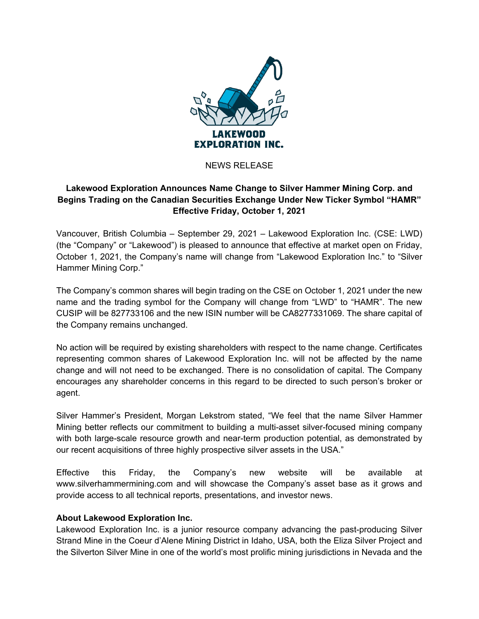

## NEWS RELEASE

## **Lakewood Exploration Announces Name Change to Silver Hammer Mining Corp. and Begins Trading on the Canadian Securities Exchange Under New Ticker Symbol "HAMR" Effective Friday, October 1, 2021**

Vancouver, British Columbia – September 29, 2021 – Lakewood Exploration Inc. (CSE: LWD) (the "Company" or "Lakewood") is pleased to announce that effective at market open on Friday, October 1, 2021, the Company's name will change from "Lakewood Exploration Inc." to "Silver Hammer Mining Corp."

The Company's common shares will begin trading on the CSE on October 1, 2021 under the new name and the trading symbol for the Company will change from "LWD" to "HAMR". The new CUSIP will be 827733106 and the new ISIN number will be CA8277331069. The share capital of the Company remains unchanged.

No action will be required by existing shareholders with respect to the name change. Certificates representing common shares of Lakewood Exploration Inc. will not be affected by the name change and will not need to be exchanged. There is no consolidation of capital. The Company encourages any shareholder concerns in this regard to be directed to such person's broker or agent.

Silver Hammer's President, Morgan Lekstrom stated, "We feel that the name Silver Hammer Mining better reflects our commitment to building a multi-asset silver-focused mining company with both large-scale resource growth and near-term production potential, as demonstrated by our recent acquisitions of three highly prospective silver assets in the USA."

Effective this Friday, the Company's new website will be available at www.silverhammermining.com and will showcase the Company's asset base as it grows and provide access to all technical reports, presentations, and investor news.

## **About Lakewood Exploration Inc.**

Lakewood Exploration Inc. is a junior resource company advancing the past-producing Silver Strand Mine in the Coeur d'Alene Mining District in Idaho, USA, both the Eliza Silver Project and the Silverton Silver Mine in one of the world's most prolific mining jurisdictions in Nevada and the